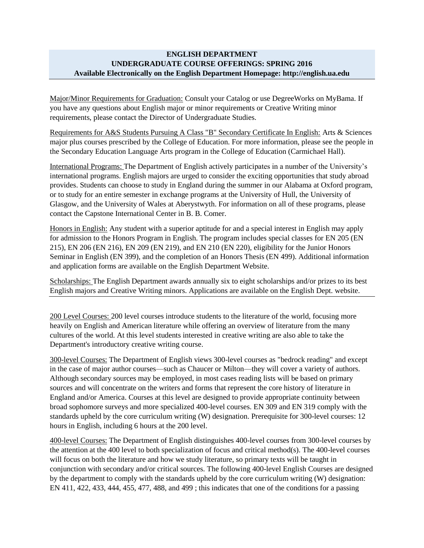## **ENGLISH DEPARTMENT UNDERGRADUATE COURSE OFFERINGS: SPRING 2016 Available Electronically on the English Department Homepage: http://english.ua.edu**

Major/Minor Requirements for Graduation: Consult your Catalog or use DegreeWorks on MyBama. If you have any questions about English major or minor requirements or Creative Writing minor requirements, please contact the Director of Undergraduate Studies.

Requirements for A&S Students Pursuing A Class "B" Secondary Certificate In English: Arts & Sciences major plus courses prescribed by the College of Education. For more information, please see the people in the Secondary Education Language Arts program in the College of Education (Carmichael Hall).

International Programs: The Department of English actively participates in a number of the University's international programs. English majors are urged to consider the exciting opportunities that study abroad provides. Students can choose to study in England during the summer in our Alabama at Oxford program, or to study for an entire semester in exchange programs at the University of Hull, the University of Glasgow, and the University of Wales at Aberystwyth. For information on all of these programs, please contact the Capstone International Center in B. B. Comer.

Honors in English: Any student with a superior aptitude for and a special interest in English may apply for admission to the Honors Program in English. The program includes special classes for EN 205 (EN 215), EN 206 (EN 216), EN 209 (EN 219), and EN 210 (EN 220), eligibility for the Junior Honors Seminar in English (EN 399), and the completion of an Honors Thesis (EN 499). Additional information and application forms are available on the English Department Website.

Scholarships: The English Department awards annually six to eight scholarships and/or prizes to its best English majors and Creative Writing minors. Applications are available on the English Dept. website.

200 Level Courses: 200 level courses introduce students to the literature of the world, focusing more heavily on English and American literature while offering an overview of literature from the many cultures of the world. At this level students interested in creative writing are also able to take the Department's introductory creative writing course.

300-level Courses: The Department of English views 300-level courses as "bedrock reading" and except in the case of major author courses—such as Chaucer or Milton—they will cover a variety of authors. Although secondary sources may be employed, in most cases reading lists will be based on primary sources and will concentrate on the writers and forms that represent the core history of literature in England and/or America. Courses at this level are designed to provide appropriate continuity between broad sophomore surveys and more specialized 400-level courses. EN 309 and EN 319 comply with the standards upheld by the core curriculum writing (W) designation. Prerequisite for 300-level courses: 12 hours in English, including 6 hours at the 200 level.

400-level Courses: The Department of English distinguishes 400-level courses from 300-level courses by the attention at the 400 level to both specialization of focus and critical method(s). The 400-level courses will focus on both the literature and how we study literature, so primary texts will be taught in conjunction with secondary and/or critical sources. The following 400-level English Courses are designed by the department to comply with the standards upheld by the core curriculum writing (W) designation: EN 411, 422, 433, 444, 455, 477, 488, and 499 ; this indicates that one of the conditions for a passing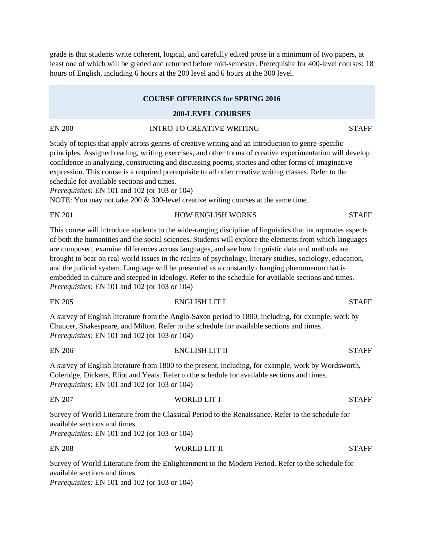grade is that students write coherent, logical, and carefully edited prose in a minimum of two papers, at least one of which will be graded and returned before mid-semester. Prerequisite for 400-level courses: 18 hours of English, including 6 hours at the 200 level and 6 hours at the 300 level.

#### **COURSE OFFERINGS for SPRING 2016**

#### **200-LEVEL COURSES**

## EN 200 INTRO TO CREATIVE WRITING STAFF

Study of topics that apply across genres of creative writing and an introduction to genre-specific principles. Assigned reading, writing exercises, and other forms of creative experimentation will develop confidence in analyzing, constructing and discussing poems, stories and other forms of imaginative expression. This course is a required prerequisite to all other creative writing classes. Refer to the schedule for available sections and times.

*Prerequisites:* EN 101 and 102 (or 103 or 104)

NOTE: You may not take 200 & 300-level creative writing courses at the same time.

| <b>EN 201</b> | <b>HOW ENGLISH WORKS</b> | <b>STAFF</b> |
|---------------|--------------------------|--------------|
|               |                          |              |

This course will introduce students to the wide-ranging discipline of linguistics that incorporates aspects of both the humanities and the social sciences. Students will explore the elements from which languages are composed, examine differences across languages, and see how linguistic data and methods are brought to bear on real-world issues in the realms of psychology, literary studies, sociology, education, and the judicial system. Language will be presented as a constantly changing phenomenon that is embedded in culture and steeped in ideology. Refer to the schedule for available sections and times. *Prerequisites:* EN 101 and 102 (or 103 or 104)

A survey of English literature from the Anglo-Saxon period to 1800, including, for example, work by Chaucer, Shakespeare, and Milton. Refer to the schedule for available sections and times. *Prerequisites:* EN 101 and 102 (or 103 or 104)

EN 206 ENGLISH LIT II STAFF

EN 205 ENGLISH LIT I STAFF

A survey of English literature from 1800 to the present, including, for example, work by Wordsworth, Coleridge, Dickens, Eliot and Yeats. Refer to the schedule for available sections and times. *Prerequisites:* EN 101 and 102 (or 103 or 104)

EN 207 WORLD LIT I STAFF Survey of World Literature from the Classical Period to the Renaissance. Refer to the schedule for available sections and times. *Prerequisites:* EN 101 and 102 (or 103 or 104)

#### EN 208 WORLD LIT II STAFF

Survey of World Literature from the Enlightenment to the Modern Period. Refer to the schedule for available sections and times.

*Prerequisites:* EN 101 and 102 (or 103 or 104)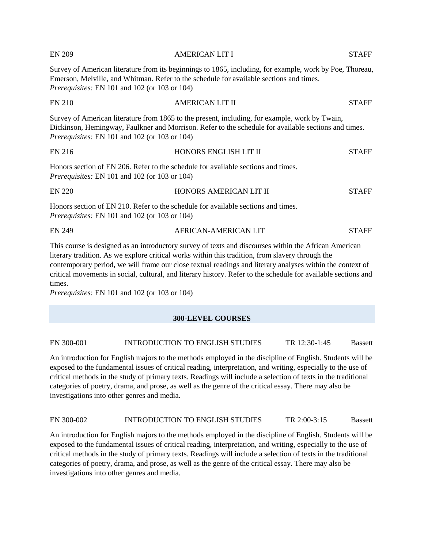| <b>EN 209</b>                                        | <b>AMERICAN LIT I</b>                                                                                                                                                                                                                                                                                                                                                                                                                    | <b>STAFF</b> |
|------------------------------------------------------|------------------------------------------------------------------------------------------------------------------------------------------------------------------------------------------------------------------------------------------------------------------------------------------------------------------------------------------------------------------------------------------------------------------------------------------|--------------|
| <i>Prerequisites:</i> EN 101 and 102 (or 103 or 104) | Survey of American literature from its beginnings to 1865, including, for example, work by Poe, Thoreau,<br>Emerson, Melville, and Whitman. Refer to the schedule for available sections and times.                                                                                                                                                                                                                                      |              |
| <b>EN 210</b>                                        | <b>AMERICAN LIT II</b>                                                                                                                                                                                                                                                                                                                                                                                                                   | <b>STAFF</b> |
| <i>Prerequisites:</i> EN 101 and 102 (or 103 or 104) | Survey of American literature from 1865 to the present, including, for example, work by Twain,<br>Dickinson, Hemingway, Faulkner and Morrison. Refer to the schedule for available sections and times.                                                                                                                                                                                                                                   |              |
| <b>EN 216</b>                                        | HONORS ENGLISH LIT II                                                                                                                                                                                                                                                                                                                                                                                                                    | <b>STAFF</b> |
| <i>Prerequisites:</i> EN 101 and 102 (or 103 or 104) | Honors section of EN 206. Refer to the schedule for available sections and times.                                                                                                                                                                                                                                                                                                                                                        |              |
| <b>EN 220</b>                                        | HONORS AMERICAN LIT II                                                                                                                                                                                                                                                                                                                                                                                                                   | <b>STAFF</b> |
| <i>Prerequisites:</i> EN 101 and 102 (or 103 or 104) | Honors section of EN 210. Refer to the schedule for available sections and times.                                                                                                                                                                                                                                                                                                                                                        |              |
| <b>EN 249</b>                                        | AFRICAN-AMERICAN LIT                                                                                                                                                                                                                                                                                                                                                                                                                     | <b>STAFF</b> |
|                                                      | This course is designed as an introductory survey of texts and discourses within the African American<br>literary tradition. As we explore critical works within this tradition, from slavery through the<br>contemporary period, we will frame our close textual readings and literary analyses within the context of<br>critical movements in social, cultural, and literary history. Refer to the schedule for available sections and |              |

*Prerequisites:* EN 101 and 102 (or 103 or 104)

times.

#### **300-LEVEL COURSES**

#### EN 300-001 INTRODUCTION TO ENGLISH STUDIES TR 12:30-1:45 Bassett

An introduction for English majors to the methods employed in the discipline of English. Students will be exposed to the fundamental issues of critical reading, interpretation, and writing, especially to the use of critical methods in the study of primary texts. Readings will include a selection of texts in the traditional categories of poetry, drama, and prose, as well as the genre of the critical essay. There may also be investigations into other genres and media.

#### EN 300-002 INTRODUCTION TO ENGLISH STUDIES TR 2:00-3:15 Bassett

An introduction for English majors to the methods employed in the discipline of English. Students will be exposed to the fundamental issues of critical reading, interpretation, and writing, especially to the use of critical methods in the study of primary texts. Readings will include a selection of texts in the traditional categories of poetry, drama, and prose, as well as the genre of the critical essay. There may also be investigations into other genres and media.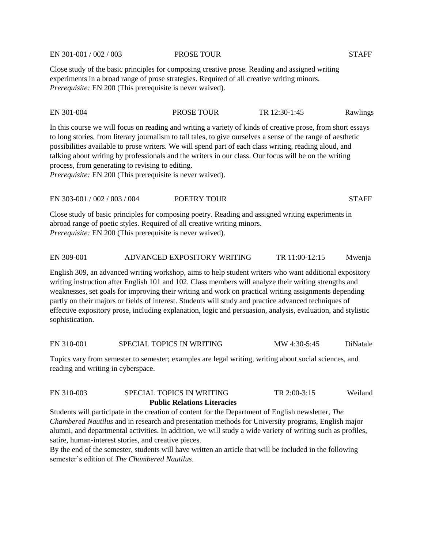EN 301-001 / 002 / 003 PROSE TOUR STAFF

Close study of the basic principles for composing creative prose. Reading and assigned writing experiments in a broad range of prose strategies. Required of all creative writing minors. *Prerequisite:* EN 200 (This prerequisite is never waived).

| EN 301-004 | <b>PROSE TOUR</b> | TR 12:30-1:45 | Rawlings |
|------------|-------------------|---------------|----------|
|            |                   |               |          |

In this course we will focus on reading and writing a variety of kinds of creative prose, from short essays to long stories, from literary journalism to tall tales, to give ourselves a sense of the range of aesthetic possibilities available to prose writers. We will spend part of each class writing, reading aloud, and talking about writing by professionals and the writers in our class. Our focus will be on the writing process, from generating to revising to editing.

*Prerequisite:* EN 200 (This prerequisite is never waived).

# EN 303-001 / 002 / 003 / 004 POETRY TOUR STAFF

Close study of basic principles for composing poetry. Reading and assigned writing experiments in abroad range of poetic styles. Required of all creative writing minors. *Prerequisite:* EN 200 (This prerequisite is never waived).

#### EN 309-001 ADVANCED EXPOSITORY WRITING TR 11:00-12:15 Mwenja

English 309, an advanced writing workshop, aims to help student writers who want additional expository writing instruction after English 101 and 102. Class members will analyze their writing strengths and weaknesses, set goals for improving their writing and work on practical writing assignments depending partly on their majors or fields of interest. Students will study and practice advanced techniques of effective expository prose, including explanation, logic and persuasion, analysis, evaluation, and stylistic sophistication.

EN 310-001 SPECIAL TOPICS IN WRITING MW 4:30-5:45 DiNatale

Topics vary from semester to semester; examples are legal writing, writing about social sciences, and reading and writing in cyberspace.

# EN 310-003 SPECIAL TOPICS IN WRITING TR 2:00-3:15 Weiland **Public Relations Literacies**

Students will participate in the creation of content for the Department of English newsletter, *The Chambered Nautilus* and in research and presentation methods for University programs, English major alumni, and departmental activities. In addition, we will study a wide variety of writing such as profiles, satire, human-interest stories, and creative pieces.

By the end of the semester, students will have written an article that will be included in the following semester's edition of *The Chambered Nautilus*.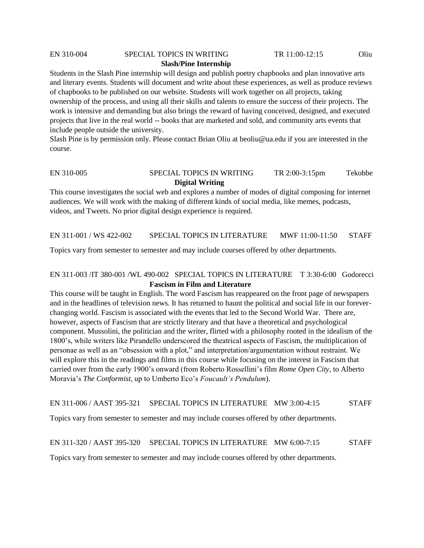## EN 310-004 SPECIAL TOPICS IN WRITING TR 11:00-12:15 Oliu **Slash/Pine Internship**

Students in the Slash Pine internship will design and publish poetry chapbooks and plan innovative arts and literary events. Students will document and write about these experiences, as well as produce reviews of chapbooks to be published on our website. Students will work together on all projects, taking ownership of the process, and using all their skills and talents to ensure the success of their projects. The work is intensive and demanding but also brings the reward of having conceived, designed, and executed projects that live in the real world -- books that are marketed and sold, and community arts events that include people outside the university.

Slash Pine is by permission only. Please contact Brian Oliu at beoliu@ua.edu if you are interested in the course.

## EN 310-005 SPECIAL TOPICS IN WRITING TR 2:00-3:15pm Tekobbe **Digital Writing**

This course investigates the social web and explores a number of modes of digital composing for internet audiences. We will work with the making of different kinds of social media, like memes, podcasts, videos, and Tweets. No prior digital design experience is required.

EN 311-001 / WS 422-002 SPECIAL TOPICS IN LITERATURE MWF 11:00-11:50 STAFF

Topics vary from semester to semester and may include courses offered by other departments.

## EN 311-003 /IT 380-001 /WL 490-002 SPECIAL TOPICS IN LITERATURE T 3:30-6:00 Godorecci **Fascism in Film and Literature**

This course will be taught in English. The word Fascism has reappeared on the front page of newspapers and in the headlines of television news. It has returned to haunt the political and social life in our foreverchanging world. Fascism is associated with the events that led to the Second World War. There are, however, aspects of Fascism that are strictly literary and that have a theoretical and psychological component. Mussolini, the politician and the writer, flirted with a philosophy rooted in the idealism of the 1800's, while writers like Pirandello underscored the theatrical aspects of Fascism, the multiplication of personae as well as an "obsession with a plot," and interpretation/argumentation without restraint. We will explore this in the readings and films in this course while focusing on the interest in Fascism that carried over from the early 1900's onward (from Roberto Rossellini's film *Rome Open City*, to Alberto Moravia's *The Conformist*, up to Umberto Eco's *Foucault's Pendulum*).

EN 311-006 / AAST 395-321 SPECIAL TOPICS IN LITERATURE MW 3:00-4:15 STAFF

Topics vary from semester to semester and may include courses offered by other departments.

#### EN 311-320 / AAST 395-320 SPECIAL TOPICS IN LITERATURE MW 6:00-7:15 STAFF

Topics vary from semester to semester and may include courses offered by other departments.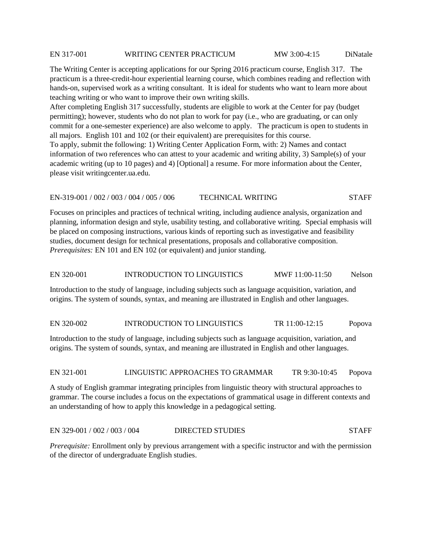#### EN 317-001 WRITING CENTER PRACTICUM MW 3:00-4:15 DiNatale

The Writing Center is accepting applications for our Spring 2016 practicum course, English 317. The practicum is a three-credit-hour experiential learning course, which combines reading and reflection with hands-on, supervised work as a writing consultant. It is ideal for students who want to learn more about teaching writing or who want to improve their own writing skills.

After completing English 317 successfully, students are eligible to work at the Center for pay (budget permitting); however, students who do not plan to work for pay (i.e., who are graduating, or can only commit for a one-semester experience) are also welcome to apply. The practicum is open to students in all majors. English 101 and 102 (or their equivalent) are prerequisites for this course.

To apply, submit the following: 1) Writing Center Application Form, with: 2) Names and contact information of two references who can attest to your academic and writing ability, 3) Sample(s) of your academic writing (up to 10 pages) and 4) [Optional] a resume. For more information about the Center, please visit writingcenter.ua.edu.

#### EN-319-001 / 002 / 003 / 004 / 005 / 006 TECHNICAL WRITING STAFF

Focuses on principles and practices of technical writing, including audience analysis, organization and planning, information design and style, usability testing, and collaborative writing. Special emphasis will be placed on composing instructions, various kinds of reporting such as investigative and feasibility studies, document design for technical presentations, proposals and collaborative composition. *Prerequisites:* EN 101 and EN 102 (or equivalent) and junior standing.

#### EN 320-001 INTRODUCTION TO LINGUISTICS MWF 11:00-11:50 Nelson

Introduction to the study of language, including subjects such as language acquisition, variation, and origins. The system of sounds, syntax, and meaning are illustrated in English and other languages.

#### EN 320-002 INTRODUCTION TO LINGUISTICS TR 11:00-12:15 Popova

Introduction to the study of language, including subjects such as language acquisition, variation, and origins. The system of sounds, syntax, and meaning are illustrated in English and other languages.

#### EN 321-001 LINGUISTIC APPROACHES TO GRAMMAR TR 9:30-10:45 Popova

A study of English grammar integrating principles from linguistic theory with structural approaches to grammar. The course includes a focus on the expectations of grammatical usage in different contexts and an understanding of how to apply this knowledge in a pedagogical setting.

# EN 329-001 / 002 / 003 / 004 DIRECTED STUDIES STAFF

*Prerequisite:* Enrollment only by previous arrangement with a specific instructor and with the permission of the director of undergraduate English studies.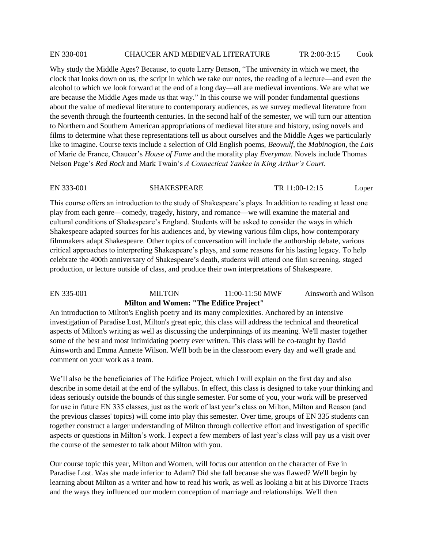#### EN 330-001 CHAUCER AND MEDIEVAL LITERATURE TR 2:00-3:15 Cook

Why study the Middle Ages? Because, to quote Larry Benson, "The university in which we meet, the clock that looks down on us, the script in which we take our notes, the reading of a lecture—and even the alcohol to which we look forward at the end of a long day—all are medieval inventions. We are what we are because the Middle Ages made us that way." In this course we will ponder fundamental questions about the value of medieval literature to contemporary audiences, as we survey medieval literature from the seventh through the fourteenth centuries. In the second half of the semester, we will turn our attention to Northern and Southern American appropriations of medieval literature and history, using novels and films to determine what these representations tell us about ourselves and the Middle Ages we particularly like to imagine. Course texts include a selection of Old English poems, *Beowulf*, the *Mabinogion*, the *Lais*  of Marie de France, Chaucer's *House of Fame* and the morality play *Everyman*. Novels include Thomas Nelson Page's *Red Rock* and Mark Twain's *A Connecticut Yankee in King Arthur's Court*.

#### EN 333-001 SHAKESPEARE TR 11:00-12:15 Loper

This course offers an introduction to the study of Shakespeare's plays. In addition to reading at least one play from each genre—comedy, tragedy, history, and romance—we will examine the material and cultural conditions of Shakespeare's England. Students will be asked to consider the ways in which Shakespeare adapted sources for his audiences and, by viewing various film clips, how contemporary filmmakers adapt Shakespeare. Other topics of conversation will include the authorship debate, various critical approaches to interpreting Shakespeare's plays, and some reasons for his lasting legacy. To help celebrate the 400th anniversary of Shakespeare's death, students will attend one film screening, staged production, or lecture outside of class, and produce their own interpretations of Shakespeare.

## EN 335-001 MILTON 11:00-11:50 MWF Ainsworth and Wilson **Milton and Women: "The Edifice Project"**

An introduction to Milton's English poetry and its many complexities. Anchored by an intensive investigation of Paradise Lost, Milton's great epic, this class will address the technical and theoretical aspects of Milton's writing as well as discussing the underpinnings of its meaning. We'll master together some of the best and most intimidating poetry ever written. This class will be co-taught by David Ainsworth and Emma Annette Wilson. We'll both be in the classroom every day and we'll grade and comment on your work as a team.

We'll also be the beneficiaries of The Edifice Project, which I will explain on the first day and also describe in some detail at the end of the syllabus. In effect, this class is designed to take your thinking and ideas seriously outside the bounds of this single semester. For some of you, your work will be preserved for use in future EN 335 classes, just as the work of last year's class on Milton, Milton and Reason (and the previous classes' topics) will come into play this semester. Over time, groups of EN 335 students can together construct a larger understanding of Milton through collective effort and investigation of specific aspects or questions in Milton's work. I expect a few members of last year's class will pay us a visit over the course of the semester to talk about Milton with you.

Our course topic this year, Milton and Women, will focus our attention on the character of Eve in Paradise Lost. Was she made inferior to Adam? Did she fall because she was flawed? We'll begin by learning about Milton as a writer and how to read his work, as well as looking a bit at his Divorce Tracts and the ways they influenced our modern conception of marriage and relationships. We'll then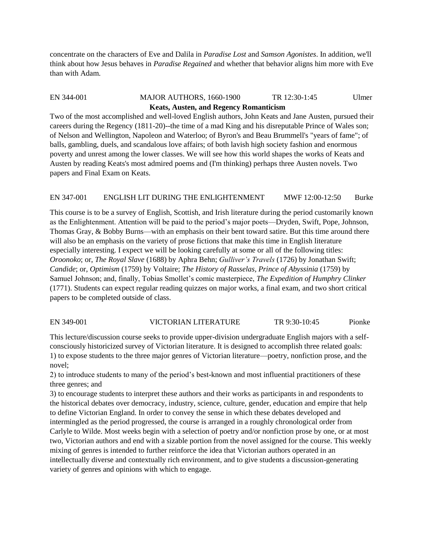concentrate on the characters of Eve and Dalila in *Paradise Lost* and *Samson Agonistes*. In addition, we'll think about how Jesus behaves in *Paradise Regained* and whether that behavior aligns him more with Eve than with Adam.

## EN 344-001 MAJOR AUTHORS, 1660-1900 TR 12:30-1:45 Ulmer **Keats, Austen, and Regency Romanticism**

Two of the most accomplished and well-loved English authors, John Keats and Jane Austen, pursued their careers during the Regency (1811-20)--the time of a mad King and his disreputable Prince of Wales son; of Nelson and Wellington, Napoleon and Waterloo; of Byron's and Beau Brummell's "years of fame"; of balls, gambling, duels, and scandalous love affairs; of both lavish high society fashion and enormous poverty and unrest among the lower classes. We will see how this world shapes the works of Keats and Austen by reading Keats's most admired poems and (I'm thinking) perhaps three Austen novels. Two papers and Final Exam on Keats.

## EN 347-001 ENGLISH LIT DURING THE ENLIGHTENMENT MWF 12:00-12:50 Burke

This course is to be a survey of English, Scottish, and Irish literature during the period customarily known as the Enlightenment. Attention will be paid to the period's major poets—Dryden, Swift, Pope, Johnson, Thomas Gray, & Bobby Burns—with an emphasis on their bent toward satire. But this time around there will also be an emphasis on the variety of prose fictions that make this time in English literature especially interesting. I expect we will be looking carefully at some or all of the following titles: *Oroonoko*; or, *The Royal Slave* (1688) by Aphra Behn; *Gulliver's Travels* (1726) by Jonathan Swift; *Candide*; or, *Optimism* (1759) by Voltaire; *The History of Rasselas, Prince of Abyssinia* (1759) by Samuel Johnson; and, finally, Tobias Smollet's comic masterpiece, *The Expedition of Humphry Clinker* (1771). Students can expect regular reading quizzes on major works, a final exam, and two short critical papers to be completed outside of class.

# EN 349-001 VICTORIAN LITERATURE TR 9:30-10:45 Pionke

This lecture/discussion course seeks to provide upper-division undergraduate English majors with a selfconsciously historicized survey of Victorian literature. It is designed to accomplish three related goals: 1) to expose students to the three major genres of Victorian literature—poetry, nonfiction prose, and the novel;

2) to introduce students to many of the period's best-known and most influential practitioners of these three genres; and

3) to encourage students to interpret these authors and their works as participants in and respondents to the historical debates over democracy, industry, science, culture, gender, education and empire that help to define Victorian England. In order to convey the sense in which these debates developed and intermingled as the period progressed, the course is arranged in a roughly chronological order from Carlyle to Wilde. Most weeks begin with a selection of poetry and/or nonfiction prose by one, or at most two, Victorian authors and end with a sizable portion from the novel assigned for the course. This weekly mixing of genres is intended to further reinforce the idea that Victorian authors operated in an intellectually diverse and contextually rich environment, and to give students a discussion-generating variety of genres and opinions with which to engage.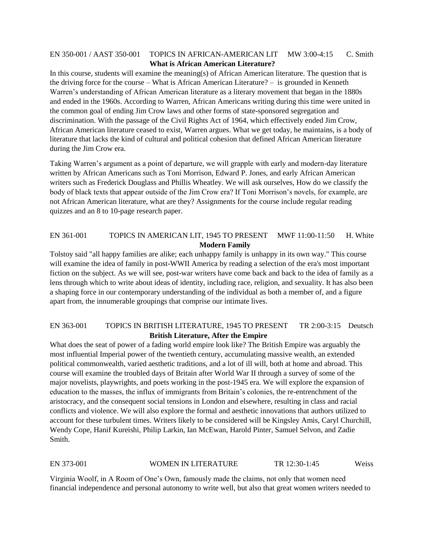# EN 350-001 / AAST 350-001 TOPICS IN AFRICAN-AMERICAN LIT MW 3:00-4:15 C. Smith **What is African American Literature?**

In this course, students will examine the meaning(s) of African American literature. The question that is the driving force for the course – What is African American Literature? – is grounded in Kenneth Warren's understanding of African American literature as a literary movement that began in the 1880s and ended in the 1960s. According to Warren, African Americans writing during this time were united in the common goal of ending Jim Crow laws and other forms of state-sponsored segregation and discrimination. With the passage of the Civil Rights Act of 1964, which effectively ended Jim Crow, African American literature ceased to exist, Warren argues. What we get today, he maintains, is a body of literature that lacks the kind of cultural and political cohesion that defined African American literature during the Jim Crow era.

Taking Warren's argument as a point of departure, we will grapple with early and modern-day literature written by African Americans such as Toni Morrison, Edward P. Jones, and early African American writers such as Frederick Douglass and Phillis Wheatley. We will ask ourselves, How do we classify the body of black texts that appear outside of the Jim Crow era? If Toni Morrison's novels, for example, are not African American literature, what are they? Assignments for the course include regular reading quizzes and an 8 to 10-page research paper.

## EN 361-001 TOPICS IN AMERICAN LIT, 1945 TO PRESENT MWF 11:00-11:50 H. White **Modern Family**

Tolstoy said "all happy families are alike; each unhappy family is unhappy in its own way." This course will examine the idea of family in post-WWII America by reading a selection of the era's most important fiction on the subject. As we will see, post-war writers have come back and back to the idea of family as a lens through which to write about ideas of identity, including race, religion, and sexuality. It has also been a shaping force in our contemporary understanding of the individual as both a member of, and a figure apart from, the innumerable groupings that comprise our intimate lives.

## EN 363-001 TOPICS IN BRITISH LITERATURE, 1945 TO PRESENT TR 2:00-3:15 Deutsch **British Literature, After the Empire**

What does the seat of power of a fading world empire look like? The British Empire was arguably the most influential Imperial power of the twentieth century, accumulating massive wealth, an extended political commonwealth, varied aesthetic traditions, and a lot of ill will, both at home and abroad. This course will examine the troubled days of Britain after World War II through a survey of some of the major novelists, playwrights, and poets working in the post-1945 era. We will explore the expansion of education to the masses, the influx of immigrants from Britain's colonies, the re-entrenchment of the aristocracy, and the consequent social tensions in London and elsewhere, resulting in class and racial conflicts and violence. We will also explore the formal and aesthetic innovations that authors utilized to account for these turbulent times. Writers likely to be considered will be Kingsley Amis, Caryl Churchill, Wendy Cope, Hanif Kureishi, Philip Larkin, Ian McEwan, Harold Pinter, Samuel Selvon, and Zadie Smith.

#### EN 373-001 WOMEN IN LITERATURE TR 12:30-1:45 Weiss

Virginia Woolf, in A Room of One's Own, famously made the claims, not only that women need financial independence and personal autonomy to write well, but also that great women writers needed to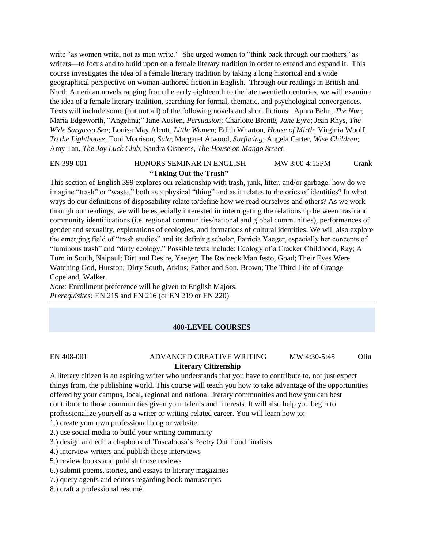write "as women write, not as men write." She urged women to "think back through our mothers" as writers—to focus and to build upon on a female literary tradition in order to extend and expand it. This course investigates the idea of a female literary tradition by taking a long historical and a wide geographical perspective on woman-authored fiction in English. Through our readings in British and North American novels ranging from the early eighteenth to the late twentieth centuries, we will examine the idea of a female literary tradition, searching for formal, thematic, and psychological convergences. Texts will include some (but not all) of the following novels and short fictions: Aphra Behn, *The Nun*; Maria Edgeworth, "Angelina;" Jane Austen, *Persuasion*; Charlotte Brontë, *Jane Eyre*; Jean Rhys, *The Wide Sargasso Sea*; Louisa May Alcott, *Little Women*; Edith Wharton, *House of Mirth*; Virginia Woolf, *To the Lighthouse*; Toni Morrison, *Sula*; Margaret Atwood, *Surfacing*; Angela Carter, *Wise Children*; Amy Tan, *The Joy Luck Club*; Sandra Cisneros, *The House on Mango Street*.

## EN 399-001 HONORS SEMINAR IN ENGLISH MW 3:00-4:15PM Crank **"Taking Out the Trash"**

This section of English 399 explores our relationship with trash, junk, litter, and/or garbage: how do we imagine "trash" or "waste," both as a physical "thing" and as it relates to rhetorics of identities? In what ways do our definitions of disposability relate to/define how we read ourselves and others? As we work through our readings, we will be especially interested in interrogating the relationship between trash and community identifications (i.e. regional communities/national and global communities), performances of gender and sexuality, explorations of ecologies, and formations of cultural identities. We will also explore the emerging field of "trash studies" and its defining scholar, Patricia Yaeger, especially her concepts of "luminous trash" and "dirty ecology." Possible texts include: Ecology of a Cracker Childhood, Ray; A Turn in South, Naipaul; Dirt and Desire, Yaeger; The Redneck Manifesto, Goad; Their Eyes Were Watching God, Hurston; Dirty South, Atkins; Father and Son, Brown; The Third Life of Grange Copeland, Walker.

*Note:* Enrollment preference will be given to English Majors. *Prerequisites:* EN 215 and EN 216 (or EN 219 or EN 220)

#### **400-LEVEL COURSES**

#### EN 408-001 ADVANCED CREATIVE WRITING MW 4:30-5:45 Oliu **Literary Citizenship**

A literary citizen is an aspiring writer who understands that you have to contribute to, not just expect things from, the publishing world. This course will teach you how to take advantage of the opportunities offered by your campus, local, regional and national literary communities and how you can best contribute to those communities given your talents and interests. It will also help you begin to professionalize yourself as a writer or writing-related career. You will learn how to:

1.) create your own professional blog or website

2.) use social media to build your writing community

3.) design and edit a chapbook of Tuscaloosa's Poetry Out Loud finalists

4.) interview writers and publish those interviews

5.) review books and publish those reviews

6.) submit poems, stories, and essays to literary magazines

7.) query agents and editors regarding book manuscripts

8.) craft a professional résumé.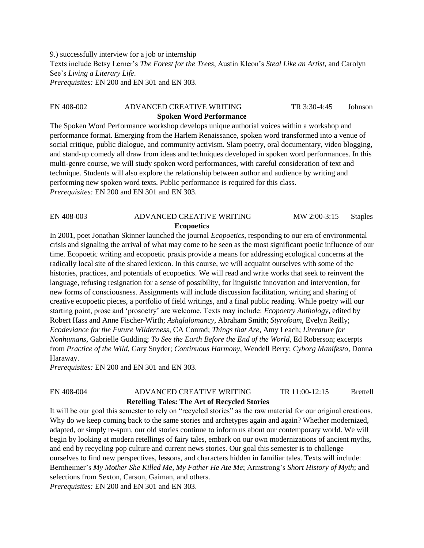9.) successfully interview for a job or internship Texts include Betsy Lerner's *The Forest for the Trees*, Austin Kleon's *Steal Like an Artist*, and Carolyn See's *Living a Literary Life*. *Prerequisites:* EN 200 and EN 301 and EN 303.

## EN 408-002 ADVANCED CREATIVE WRITING TR 3:30-4:45 Johnson **Spoken Word Performance**

The Spoken Word Performance workshop develops unique authorial voices within a workshop and performance format. Emerging from the Harlem Renaissance, spoken word transformed into a venue of social critique, public dialogue, and community activism. Slam poetry, oral documentary, video blogging, and stand-up comedy all draw from ideas and techniques developed in spoken word performances. In this multi-genre course, we will study spoken word performances, with careful consideration of text and technique. Students will also explore the relationship between author and audience by writing and performing new spoken word texts. Public performance is required for this class. *Prerequisites:* EN 200 and EN 301 and EN 303.

| EN 408-003        | ADVANCED CREATIVE WRITING | MW 2:00-3:15 | <b>Staples</b> |
|-------------------|---------------------------|--------------|----------------|
| <b>Ecopoetics</b> |                           |              |                |

In 2001, poet Jonathan Skinner launched the journal *Ecopoetics*, responding to our era of environmental crisis and signaling the arrival of what may come to be seen as the most significant poetic influence of our time. Ecopoetic writing and ecopoetic praxis provide a means for addressing ecological concerns at the radically local site of the shared lexicon. In this course, we will acquaint ourselves with some of the histories, practices, and potentials of ecopoetics. We will read and write works that seek to reinvent the language, refusing resignation for a sense of possibility, for linguistic innovation and intervention, for new forms of consciousness. Assignments will include discussion facilitation, writing and sharing of creative ecopoetic pieces, a portfolio of field writings, and a final public reading. While poetry will our starting point, prose and 'prosoetry' are welcome. Texts may include: *Ecopoetry Anthology*, edited by Robert Hass and Anne Fischer-Wirth; *Ashglalomancy*, Abraham Smith; *Styrofoam*, Evelyn Reilly; *Ecodeviance for the Future Wilderness*, CA Conrad; *Things that Are*, Amy Leach; *Literature for Nonhumans*, Gabrielle Gudding; *To See the Earth Before the End of the World*, Ed Roberson; excerpts from *Practice of the Wild*, Gary Snyder; *Continuous Harmony*, Wendell Berry; *Cyborg Manifesto*, Donna Haraway.

*Prerequisites:* EN 200 and EN 301 and EN 303.

# EN 408-004 ADVANCED CREATIVE WRITING TR 11:00-12:15 Brettell **Retelling Tales: The Art of Recycled Stories**

It will be our goal this semester to rely on "recycled stories" as the raw material for our original creations. Why do we keep coming back to the same stories and archetypes again and again? Whether modernized, adapted, or simply re-spun, our old stories continue to inform us about our contemporary world. We will begin by looking at modern retellings of fairy tales, embark on our own modernizations of ancient myths, and end by recycling pop culture and current news stories. Our goal this semester is to challenge ourselves to find new perspectives, lessons, and characters hidden in familiar tales. Texts will include: Bernheimer's *My Mother She Killed Me, My Father He Ate Me*; Armstrong's *Short History of Myth*; and selections from Sexton, Carson, Gaiman, and others. *Prerequisites:* EN 200 and EN 301 and EN 303.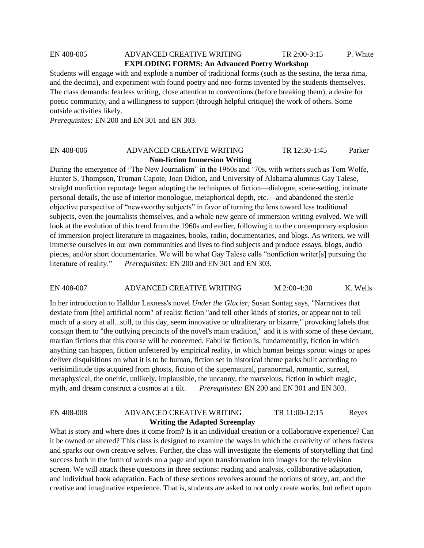# EN 408-005 ADVANCED CREATIVE WRITING TR 2:00-3:15 P. White **EXPLODING FORMS: An Advanced Poetry Workshop**

Students will engage with and explode a number of traditional forms (such as the sestina, the terza rima, and the decima), and experiment with found poetry and neo-forms invented by the students themselves. The class demands: fearless writing, close attention to conventions (before breaking them), a desire for poetic community, and a willingness to support (through helpful critique) the work of others. Some outside activities likely.

*Prerequisites:* EN 200 and EN 301 and EN 303.

## EN 408-006 ADVANCED CREATIVE WRITING TR 12:30-1:45 Parker **Non-fiction Immersion Writing**

During the emergence of "The New Journalism" in the 1960s and '70s, with writers such as Tom Wolfe, Hunter S. Thompson, Truman Capote, Joan Didion, and University of Alabama alumnus Gay Talese, straight nonfiction reportage began adopting the techniques of fiction––dialogue, scene-setting, intimate personal details, the use of interior monologue, metaphorical depth, etc.––and abandoned the sterile objective perspective of "newsworthy subjects" in favor of turning the lens toward less traditional subjects, even the journalists themselves, and a whole new genre of immersion writing evolved. We will look at the evolution of this trend from the 1960s and earlier, following it to the contemporary explosion of immersion project literature in magazines, books, radio, documentaries, and blogs. As writers, we will immerse ourselves in our own communities and lives to find subjects and produce essays, blogs, audio pieces, and/or short documentaries. We will be what Gay Talese calls "nonfiction writer[s] pursuing the literature of reality." *Prerequisites:* EN 200 and EN 301 and EN 303.

#### EN 408-007 ADVANCED CREATIVE WRITING M 2:00-4:30 K. Wells

In her introduction to Halldor Laxness's novel *Under the Glacier*, Susan Sontag says, "Narratives that deviate from [the] artificial norm" of realist fiction "and tell other kinds of stories, or appear not to tell much of a story at all...still, to this day, seem innovative or ultraliterary or bizarre," provoking labels that consign them to "the outlying precincts of the novel's main tradition," and it is with some of these deviant, martian fictions that this course will be concerned. Fabulist fiction is, fundamentally, fiction in which anything can happen, fiction unfettered by empirical reality, in which human beings sprout wings or apes deliver disquisitions on what it is to be human, fiction set in historical theme parks built according to verisimilitude tips acquired from ghosts, fiction of the supernatural, paranormal, romantic, surreal, metaphysical, the oneiric, unlikely, implausible, the uncanny, the marvelous, fiction in which magic, myth, and dream construct a cosmos at a tilt. *Prerequisites:* EN 200 and EN 301 and EN 303.

# EN 408-008 ADVANCED CREATIVE WRITING TR 11:00-12:15 Reyes **Writing the Adapted Screenplay**

What is story and where does it come from? Is it an individual creation or a collaborative experience? Can it be owned or altered? This class is designed to examine the ways in which the creativity of others fosters and sparks our own creative selves. Further, the class will investigate the elements of storytelling that find success both in the form of words on a page and upon transformation into images for the television screen. We will attack these questions in three sections: reading and analysis, collaborative adaptation, and individual book adaptation. Each of these sections revolves around the notions of story, art, and the creative and imaginative experience. That is, students are asked to not only create works, but reflect upon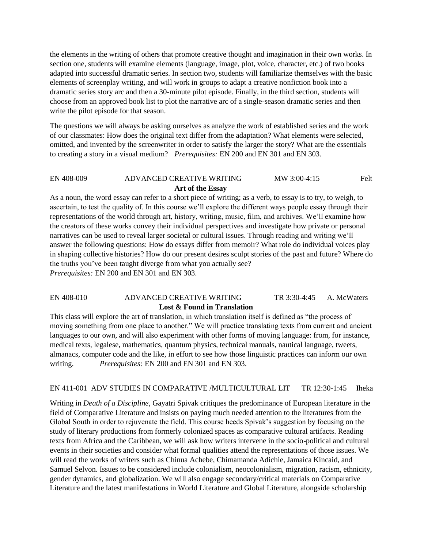the elements in the writing of others that promote creative thought and imagination in their own works. In section one, students will examine elements (language, image, plot, voice, character, etc.) of two books adapted into successful dramatic series. In section two, students will familiarize themselves with the basic elements of screenplay writing, and will work in groups to adapt a creative nonfiction book into a dramatic series story arc and then a 30-minute pilot episode. Finally, in the third section, students will choose from an approved book list to plot the narrative arc of a single-season dramatic series and then write the pilot episode for that season.

The questions we will always be asking ourselves as analyze the work of established series and the work of our classmates: How does the original text differ from the adaptation? What elements were selected, omitted, and invented by the screenwriter in order to satisfy the larger the story? What are the essentials to creating a story in a visual medium? *Prerequisites:* EN 200 and EN 301 and EN 303.

## EN 408-009 ADVANCED CREATIVE WRITING MW 3:00-4:15 Felt **Art of the Essay**

As a noun, the word essay can refer to a short piece of writing; as a verb, to essay is to try, to weigh, to ascertain, to test the quality of. In this course we'll explore the different ways people essay through their representations of the world through art, history, writing, music, film, and archives. We'll examine how the creators of these works convey their individual perspectives and investigate how private or personal narratives can be used to reveal larger societal or cultural issues. Through reading and writing we'll answer the following questions: How do essays differ from memoir? What role do individual voices play in shaping collective histories? How do our present desires sculpt stories of the past and future? Where do the truths you've been taught diverge from what you actually see? *Prerequisites:* EN 200 and EN 301 and EN 303.

## EN 408-010 ADVANCED CREATIVE WRITING TR 3:30-4:45 A. McWaters **Lost & Found in Translation**

This class will explore the art of translation, in which translation itself is defined as "the process of moving something from one place to another." We will practice translating texts from current and ancient languages to our own, and will also experiment with other forms of moving language: from, for instance, medical texts, legalese, mathematics, quantum physics, technical manuals, nautical language, tweets, almanacs, computer code and the like, in effort to see how those linguistic practices can inform our own writing. *Prerequisites:* EN 200 and EN 301 and EN 303.

#### EN 411-001 ADV STUDIES IN COMPARATIVE /MULTICULTURAL LIT TR 12:30-1:45 Iheka

Writing in *Death of a Discipline*, Gayatri Spivak critiques the predominance of European literature in the field of Comparative Literature and insists on paying much needed attention to the literatures from the Global South in order to rejuvenate the field. This course heeds Spivak's suggestion by focusing on the study of literary productions from formerly colonized spaces as comparative cultural artifacts. Reading texts from Africa and the Caribbean, we will ask how writers intervene in the socio-political and cultural events in their societies and consider what formal qualities attend the representations of those issues. We will read the works of writers such as Chinua Achebe, Chimamanda Adichie, Jamaica Kincaid, and Samuel Selvon. Issues to be considered include colonialism, neocolonialism, migration, racism, ethnicity, gender dynamics, and globalization. We will also engage secondary/critical materials on Comparative Literature and the latest manifestations in World Literature and Global Literature, alongside scholarship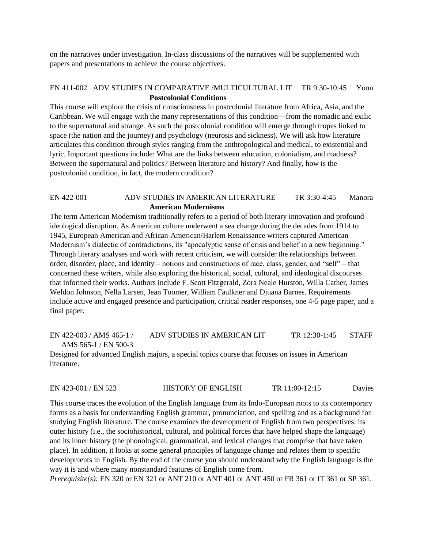on the narratives under investigation. In-class discussions of the narratives will be supplemented with papers and presentations to achieve the course objectives.

## EN 411-002 ADV STUDIES IN COMPARATIVE /MULTICULTURAL LIT TR 9:30-10:45 Yoon **Postcolonial Conditions**

This course will explore the crisis of consciousness in postcolonial literature from Africa, Asia, and the Caribbean. We will engage with the many representations of this condition—from the nomadic and exilic to the supernatural and strange. As such the postcolonial condition will emerge through tropes linked to space (the nation and the journey) and psychology (neurosis and sickness). We will ask how literature articulates this condition through styles ranging from the anthropological and medical, to existential and lyric. Important questions include: What are the links between education, colonialism, and madness? Between the supernatural and politics? Between literature and history? And finally, how is the postcolonial condition, in fact, the modern condition?

#### EN 422-001 ADV STUDIES IN AMERICAN LITERATURE TR 3:30-4:45 Manora **American Modernisms**

The term American Modernism traditionally refers to a period of both literary innovation and profound ideological disruption. As American culture underwent a sea change during the decades from 1914 to 1945, European American and African-American/Harlem Renaissance writers captured American Modernism's dialectic of contradictions, its "apocalyptic sense of crisis and belief in a new beginning." Through literary analyses and work with recent criticism, we will consider the relationships between order, disorder, place, and identity – notions and constructions of race, class, gender, and "self" – that concerned these writers, while also exploring the historical, social, cultural, and ideological discourses that informed their works. Authors include F. Scott Fitzgerald, Zora Neale Hurston, Willa Cather, James Weldon Johnson, Nella Larsen, Jean Toomer, William Faulkner and Djuana Barnes. Requirements include active and engaged presence and participation, critical reader responses, one 4-5 page paper, and a final paper.

# EN 422-003 / AMS 465-1 / ADV STUDIES IN AMERICAN LIT TR 12:30-1:45 STAFF AMS 565-1 / EN 500-3

Designed for advanced English majors, a special topics course that focuses on issues in American literature.

## EN 423-001 / EN 523 HISTORY OF ENGLISH TR 11:00-12:15 Davies

This course traces the evolution of the English language from its Indo-European roots to its contemporary forms as a basis for understanding English grammar, pronunciation, and spelling and as a background for studying English literature. The course examines the development of English from two perspectives: its outer history (i.e., the sociohistorical, cultural, and political forces that have helped shape the language) and its inner history (the phonological, grammatical, and lexical changes that comprise that have taken place). In addition, it looks at some general principles of language change and relates them to specific developments in English. By the end of the course you should understand why the English language is the way it is and where many nonstandard features of English come from.

*Prerequisite(s):* EN 320 or EN 321 or ANT 210 or ANT 401 or ANT 450 or FR 361 or IT 361 or SP 361.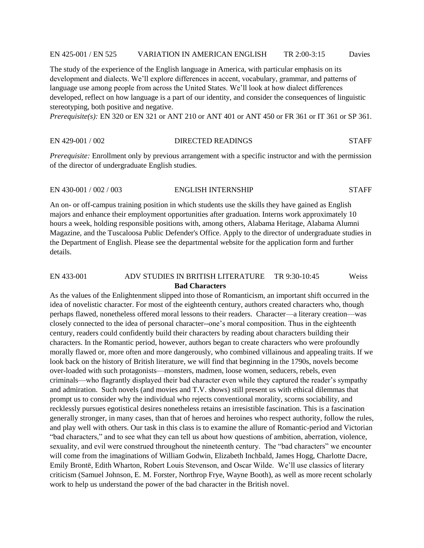#### EN 425-001 / EN 525 VARIATION IN AMERICAN ENGLISH TR 2:00-3:15 Davies

The study of the experience of the English language in America, with particular emphasis on its development and dialects. We'll explore differences in accent, vocabulary, grammar, and patterns of language use among people from across the United States. We'll look at how dialect differences developed, reflect on how language is a part of our identity, and consider the consequences of linguistic stereotyping, both positive and negative.

*Prerequisite(s):* EN 320 or EN 321 or ANT 210 or ANT 401 or ANT 450 or FR 361 or IT 361 or SP 361.

#### EN 429-001 / 002 DIRECTED READINGS STAFF

*Prerequisite:* Enrollment only by previous arrangement with a specific instructor and with the permission of the director of undergraduate English studies.

#### EN 430-001 / 002 / 003 ENGLISH INTERNSHIP STAFF

An on- or off-campus training position in which students use the skills they have gained as English majors and enhance their employment opportunities after graduation. Interns work approximately 10 hours a week, holding responsible positions with, among others, Alabama Heritage, Alabama Alumni Magazine, and the Tuscaloosa Public Defender's Office. Apply to the director of undergraduate studies in the Department of English. Please see the departmental website for the application form and further details.

#### EN 433-001 ADV STUDIES IN BRITISH LITERATURE TR 9:30-10:45 Weiss **Bad Characters**

As the values of the Enlightenment slipped into those of Romanticism, an important shift occurred in the idea of novelistic character. For most of the eighteenth century, authors created characters who, though perhaps flawed, nonetheless offered moral lessons to their readers. Character—a literary creation—was closely connected to the idea of personal character--one's moral composition. Thus in the eighteenth century, readers could confidently build their characters by reading about characters building their characters. In the Romantic period, however, authors began to create characters who were profoundly morally flawed or, more often and more dangerously, who combined villainous and appealing traits. If we look back on the history of British literature, we will find that beginning in the 1790s, novels become over-loaded with such protagonists—monsters, madmen, loose women, seducers, rebels, even criminals—who flagrantly displayed their bad character even while they captured the reader's sympathy and admiration. Such novels (and movies and T.V. shows) still present us with ethical dilemmas that prompt us to consider why the individual who rejects conventional morality, scorns sociability, and recklessly pursues egotistical desires nonetheless retains an irresistible fascination. This is a fascination generally stronger, in many cases, than that of heroes and heroines who respect authority, follow the rules, and play well with others. Our task in this class is to examine the allure of Romantic-period and Victorian "bad characters," and to see what they can tell us about how questions of ambition, aberration, violence, sexuality, and evil were construed throughout the nineteenth century. The "bad characters" we encounter will come from the imaginations of William Godwin, Elizabeth Inchbald, James Hogg, Charlotte Dacre, Emily Brontë, Edith Wharton, Robert Louis Stevenson, and Oscar Wilde. We'll use classics of literary criticism (Samuel Johnson, E. M. Forster, Northrop Frye, Wayne Booth), as well as more recent scholarly work to help us understand the power of the bad character in the British novel.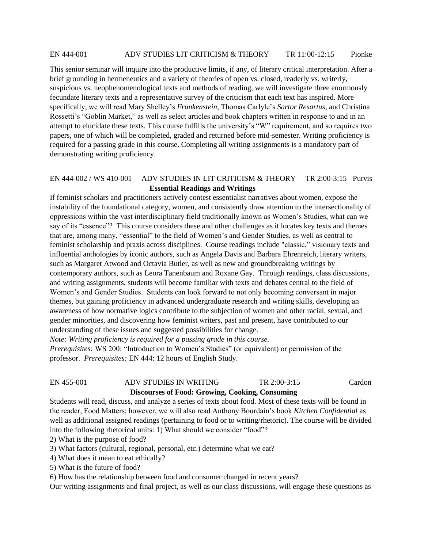#### EN 444-001 ADV STUDIES LIT CRITICISM & THEORY TR 11:00-12:15 Pionke

This senior seminar will inquire into the productive limits, if any, of literary critical interpretation. After a brief grounding in hermeneutics and a variety of theories of open vs. closed, readerly vs. writerly, suspicious vs. neophenomenological texts and methods of reading, we will investigate three enormously fecundate literary texts and a representative survey of the criticism that each text has inspired. More specifically, we will read Mary Shelley's *Frankenstein*, Thomas Carlyle's *Sartor Resartus*, and Christina Rossetti's "Goblin Market," as well as select articles and book chapters written in response to and in an attempt to elucidate these texts. This course fulfills the university's "W" requirement, and so requires two papers, one of which will be completed, graded and returned before mid-semester. Writing proficiency is required for a passing grade in this course. Completing all writing assignments is a mandatory part of demonstrating writing proficiency.

## EN 444-002 / WS 410-001 ADV STUDIES IN LIT CRITICISM & THEORY TR 2:00-3:15 Purvis **Essential Readings and Writings**

If feminist scholars and practitioners actively contest essentialist narratives about women, expose the instability of the foundational category, women, and consistently draw attention to the intersectionality of oppressions within the vast interdisciplinary field traditionally known as Women's Studies, what can we say of its "essence"? This course considers these and other challenges as it locates key texts and themes that are, among many, "essential" to the field of Women's and Gender Studies, as well as central to feminist scholarship and praxis across disciplines. Course readings include "classic," visionary texts and influential anthologies by iconic authors, such as Angela Davis and Barbara Ehrenreich, literary writers, such as Margaret Atwood and Octavia Butler, as well as new and groundbreaking writings by contemporary authors, such as Leora Tanenbaum and Roxane Gay. Through readings, class discussions, and writing assignments, students will become familiar with texts and debates central to the field of Women's and Gender Studies. Students can look forward to not only becoming conversant in major themes, but gaining proficiency in advanced undergraduate research and writing skills, developing an awareness of how normative logics contribute to the subjection of women and other racial, sexual, and gender minorities, and discovering how feminist writers, past and present, have contributed to our understanding of these issues and suggested possibilities for change.

*Note: Writing proficiency is required for a passing grade in this course.*

*Prerequisites:* WS 200: "Introduction to Women's Studies" (or equivalent) or permission of the professor. *Prerequisites:* EN 444: 12 hours of English Study.

#### EN 455-001 ADV STUDIES IN WRITING TR 2:00-3:15 Cardon  **Discourses of Food: Growing, Cooking, Consuming**

Students will read, discuss, and analyze a series of texts about food. Most of these texts will be found in the reader, Food Matters; however, we will also read Anthony Bourdain's book *Kitchen Confidential* as well as additional assigned readings (pertaining to food or to writing/rhetoric). The course will be divided into the following rhetorical units: 1) What should we consider "food"?

2) What is the purpose of food?

- 3) What factors (cultural, regional, personal, etc.) determine what we eat?
- 4) What does it mean to eat ethically?
- 5) What is the future of food?
- 6) How has the relationship between food and consumer changed in recent years?

Our writing assignments and final project, as well as our class discussions, will engage these questions as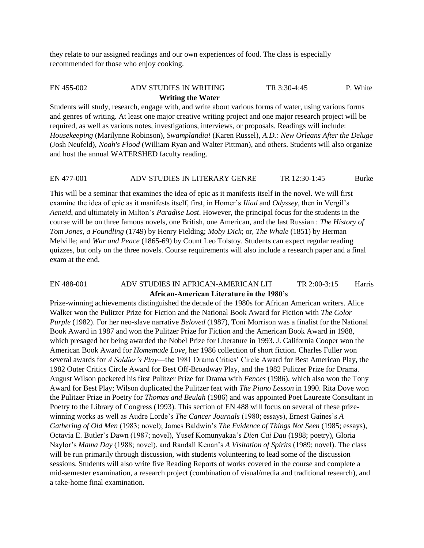they relate to our assigned readings and our own experiences of food. The class is especially recommended for those who enjoy cooking.

## EN 455-002 ADV STUDIES IN WRITING TR 3:30-4:45 P. White **Writing the Water**

Students will study, research, engage with, and write about various forms of water, using various forms and genres of writing. At least one major creative writing project and one major research project will be required, as well as various notes, investigations, interviews, or proposals. Readings will include: *Housekeeping* (Marilynne Robinson), *Swamplandia!* (Karen Russel), *A.D.: New Orleans After the Deluge* (Josh Neufeld), *Noah's Flood* (William Ryan and Walter Pittman), and others. Students will also organize and host the annual WATERSHED faculty reading.

#### EN 477-001 ADV STUDIES IN LITERARY GENRE TR 12:30-1:45 Burke

This will be a seminar that examines the idea of epic as it manifests itself in the novel. We will first examine the idea of epic as it manifests itself, first, in Homer's *Iliad* and *Odyssey*, then in Vergil's *Aeneid*, and ultimately in Milton's *Paradise Lost*. However, the principal focus for the students in the course will be on three famous novels, one British, one American, and the last Russian : *The History of Tom Jones, a Foundling* (1749) by Henry Fielding; *Moby Dick*; or, *The Whale* (1851) by Herman Melville; and *War and Peace* (1865-69) by Count Leo Tolstoy. Students can expect regular reading quizzes, but only on the three novels. Course requirements will also include a research paper and a final exam at the end.

# EN 488-001 ADV STUDIES IN AFRICAN-AMERICAN LIT TR 2:00-3:15 Harris **African-American Literature in the 1980's**

Prize-winning achievements distinguished the decade of the 1980s for African American writers. Alice Walker won the Pulitzer Prize for Fiction and the National Book Award for Fiction with *The Color Purple* (1982). For her neo-slave narrative *Beloved* (1987), Toni Morrison was a finalist for the National Book Award in 1987 and won the Pulitzer Prize for Fiction and the American Book Award in 1988, which presaged her being awarded the Nobel Prize for Literature in 1993. J. California Cooper won the American Book Award for *Homemade Love*, her 1986 collection of short fiction. Charles Fuller won several awards for *A Soldier's Play*—the 1981 Drama Critics' Circle Award for Best American Play, the 1982 Outer Critics Circle Award for Best Off-Broadway Play, and the 1982 Pulitzer Prize for Drama. August Wilson pocketed his first Pulitzer Prize for Drama with *Fences* (1986), which also won the Tony Award for Best Play; Wilson duplicated the Pulitzer feat with *The Piano Lesson* in 1990. Rita Dove won the Pulitzer Prize in Poetry for *Thomas and Beulah* (1986) and was appointed Poet Laureate Consultant in Poetry to the Library of Congress (1993). This section of EN 488 will focus on several of these prizewinning works as well as Audre Lorde's *The Cancer Journals* (1980; essays), Ernest Gaines's *A Gathering of Old Men* (1983; novel); James Baldwin's *The Evidence of Things Not Seen* (1985; essays), Octavia E. Butler's Dawn (1987; novel), Yusef Komunyakaa's *Dien Cai Dau* (1988; poetry), Gloria Naylor's *Mama Day* (1988; novel), and Randall Kenan's *A Visitation of Spirits* (1989; novel). The class will be run primarily through discussion, with students volunteering to lead some of the discussion sessions. Students will also write five Reading Reports of works covered in the course and complete a mid-semester examination, a research project (combination of visual/media and traditional research), and a take-home final examination.